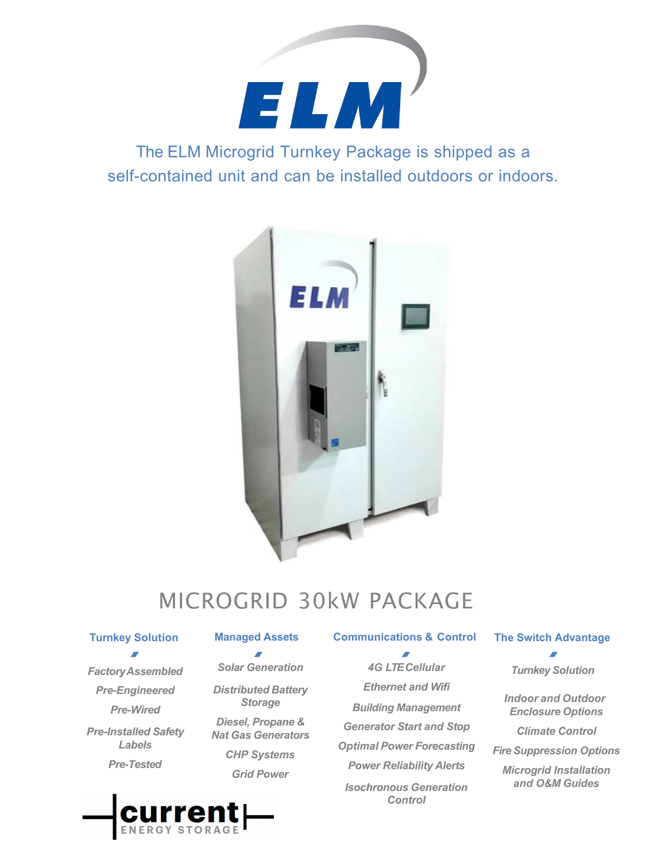

The ELM Microgrid Turnkey Package is shipped as a self-contained unit and can be installed outdoors or indoors.



# MICROGRID 30kW PACKAGE

## **Turnkey Solution**

*FactoryAssembled Pre-Engineered Pre-Wired Pre-Installed Safety Labels Pre-Tested*

*Solar Generation Distributed Battery Storage Diesel, Propane & Nat Gas Generators CHP Systems Grid Power*

**Managed Assets Communications & Control**  $\overline{a}$ 

> *4G LTE Cellular Ethernet and Wifi Building Management Generator Start and Stop Optimal Power Forecasting Power Reliability Alerts Isochronous Generation Control*

## **The Switch Advantage**

*Turnkey Solution*

*Indoor and Outdoor Enclosure Options*

*Climate Control*

*Fire Suppression Options*

*Microgrid Installation and O&M Guides*